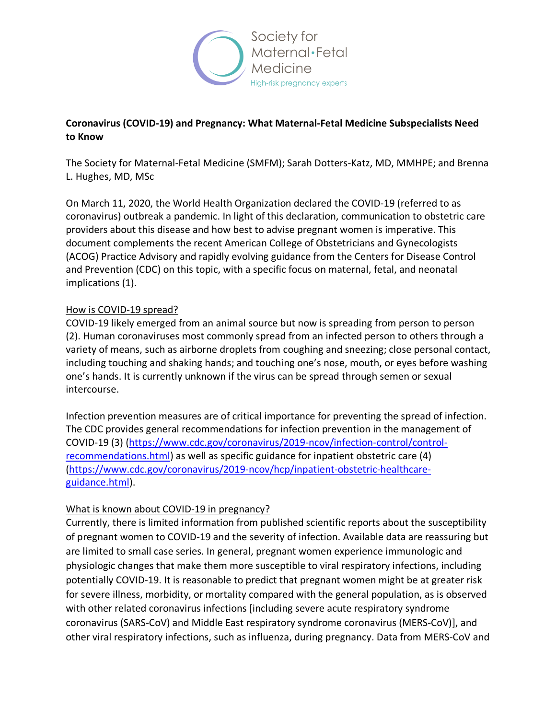

# **Coronavirus (COVID-19) and Pregnancy: What Maternal-Fetal Medicine Subspecialists Need to Know**

The Society for Maternal-Fetal Medicine (SMFM); Sarah Dotters-Katz, MD, MMHPE; and Brenna L. Hughes, MD, MSc

On March 11, 2020, the World Health Organization declared the COVID-19 (referred to as coronavirus) outbreak a pandemic. In light of this declaration, communication to obstetric care providers about this disease and how best to advise pregnant women is imperative. This document complements the recent American College of Obstetricians and Gynecologists (ACOG) Practice Advisory and rapidly evolving guidance from the Centers for Disease Control and Prevention (CDC) on this topic, with a specific focus on maternal, fetal, and neonatal implications (1).

### How is COVID-19 spread?

COVID-19 likely emerged from an animal source but now is spreading from person to person (2). Human coronaviruses most commonly spread from an infected person to others through a variety of means, such as airborne droplets from coughing and sneezing; close personal contact, including touching and shaking hands; and touching one's nose, mouth, or eyes before washing one's hands. It is currently unknown if the virus can be spread through semen or sexual intercourse.

Infection prevention measures are of critical importance for preventing the spread of infection. The CDC provides general recommendations for infection prevention in the management of COVID-19 (3) (https://www.cdc.gov/coronavirus/2019-ncov/infection-control/controlrecommendations.html) as well as specific guidance for inpatient obstetric care (4) (https://www.cdc.gov/coronavirus/2019-ncov/hcp/inpatient-obstetric-healthcareguidance.html).

### What is known about COVID-19 in pregnancy?

Currently, there is limited information from published scientific reports about the susceptibility of pregnant women to COVID-19 and the severity of infection. Available data are reassuring but are limited to small case series. In general, pregnant women experience immunologic and physiologic changes that make them more susceptible to viral respiratory infections, including potentially COVID-19. It is reasonable to predict that pregnant women might be at greater risk for severe illness, morbidity, or mortality compared with the general population, as is observed with other related coronavirus infections [including severe acute respiratory syndrome coronavirus (SARS-CoV) and Middle East respiratory syndrome coronavirus (MERS-CoV)], and other viral respiratory infections, such as influenza, during pregnancy. Data from MERS-CoV and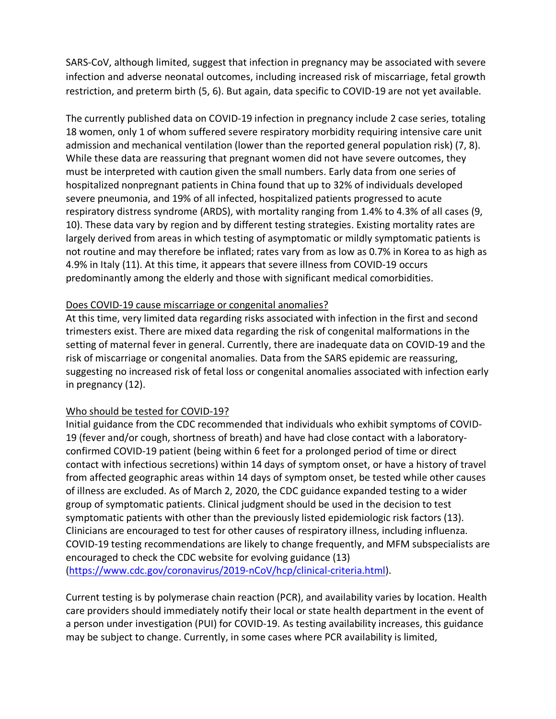SARS-CoV, although limited, suggest that infection in pregnancy may be associated with severe infection and adverse neonatal outcomes, including increased risk of miscarriage, fetal growth restriction, and preterm birth (5, 6). But again, data specific to COVID-19 are not yet available.

The currently published data on COVID-19 infection in pregnancy include 2 case series, totaling 18 women, only 1 of whom suffered severe respiratory morbidity requiring intensive care unit admission and mechanical ventilation (lower than the reported general population risk) (7, 8). While these data are reassuring that pregnant women did not have severe outcomes, they must be interpreted with caution given the small numbers. Early data from one series of hospitalized nonpregnant patients in China found that up to 32% of individuals developed severe pneumonia, and 19% of all infected, hospitalized patients progressed to acute respiratory distress syndrome (ARDS), with mortality ranging from 1.4% to 4.3% of all cases (9, 10). These data vary by region and by different testing strategies. Existing mortality rates are largely derived from areas in which testing of asymptomatic or mildly symptomatic patients is not routine and may therefore be inflated; rates vary from as low as 0.7% in Korea to as high as 4.9% in Italy (11). At this time, it appears that severe illness from COVID-19 occurs predominantly among the elderly and those with significant medical comorbidities.

#### Does COVID-19 cause miscarriage or congenital anomalies?

At this time, very limited data regarding risks associated with infection in the first and second trimesters exist. There are mixed data regarding the risk of congenital malformations in the setting of maternal fever in general. Currently, there are inadequate data on COVID-19 and the risk of miscarriage or congenital anomalies. Data from the SARS epidemic are reassuring, suggesting no increased risk of fetal loss or congenital anomalies associated with infection early in pregnancy (12).

### Who should be tested for COVID-19?

Initial guidance from the CDC recommended that individuals who exhibit symptoms of COVID-19 (fever and/or cough, shortness of breath) and have had close contact with a laboratoryconfirmed COVID-19 patient (being within 6 feet for a prolonged period of time or direct contact with infectious secretions) within 14 days of symptom onset, or have a history of travel from affected geographic areas within 14 days of symptom onset, be tested while other causes of illness are excluded. As of March 2, 2020, the CDC guidance expanded testing to a wider group of symptomatic patients. Clinical judgment should be used in the decision to test symptomatic patients with other than the previously listed epidemiologic risk factors (13). Clinicians are encouraged to test for other causes of respiratory illness, including influenza. COVID-19 testing recommendations are likely to change frequently, and MFM subspecialists are encouraged to check the CDC website for evolving guidance (13) (https://www.cdc.gov/coronavirus/2019-nCoV/hcp/clinical-criteria.html).

Current testing is by polymerase chain reaction (PCR), and availability varies by location. Health care providers should immediately notify their local or state health department in the event of a person under investigation (PUI) for COVID-19. As testing availability increases, this guidance may be subject to change. Currently, in some cases where PCR availability is limited,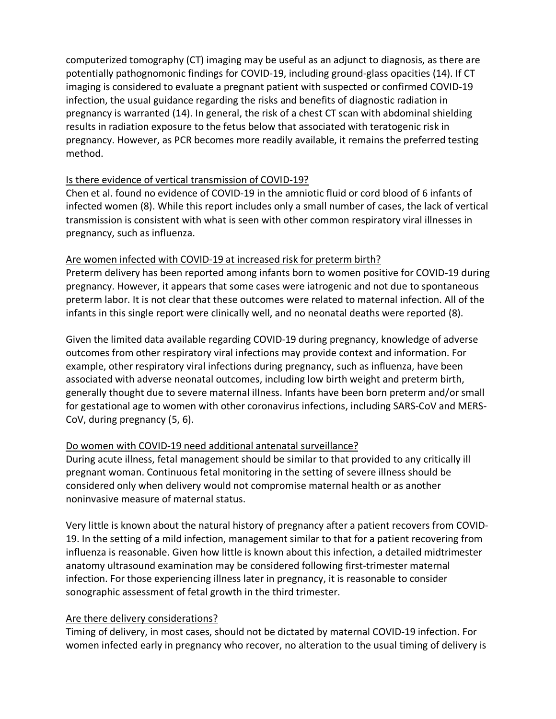computerized tomography (CT) imaging may be useful as an adjunct to diagnosis, as there are potentially pathognomonic findings for COVID-19, including ground-glass opacities (14). If CT imaging is considered to evaluate a pregnant patient with suspected or confirmed COVID-19 infection, the usual guidance regarding the risks and benefits of diagnostic radiation in pregnancy is warranted (14). In general, the risk of a chest CT scan with abdominal shielding results in radiation exposure to the fetus below that associated with teratogenic risk in pregnancy. However, as PCR becomes more readily available, it remains the preferred testing method.

### Is there evidence of vertical transmission of COVID-19?

Chen et al. found no evidence of COVID-19 in the amniotic fluid or cord blood of 6 infants of infected women (8). While this report includes only a small number of cases, the lack of vertical transmission is consistent with what is seen with other common respiratory viral illnesses in pregnancy, such as influenza.

### Are women infected with COVID-19 at increased risk for preterm birth?

Preterm delivery has been reported among infants born to women positive for COVID-19 during pregnancy. However, it appears that some cases were iatrogenic and not due to spontaneous preterm labor. It is not clear that these outcomes were related to maternal infection. All of the infants in this single report were clinically well, and no neonatal deaths were reported (8).

Given the limited data available regarding COVID-19 during pregnancy, knowledge of adverse outcomes from other respiratory viral infections may provide context and information. For example, other respiratory viral infections during pregnancy, such as influenza, have been associated with adverse neonatal outcomes, including low birth weight and preterm birth, generally thought due to severe maternal illness. Infants have been born preterm and/or small for gestational age to women with other coronavirus infections, including SARS-CoV and MERS-CoV, during pregnancy (5, 6).

### Do women with COVID-19 need additional antenatal surveillance?

During acute illness, fetal management should be similar to that provided to any critically ill pregnant woman. Continuous fetal monitoring in the setting of severe illness should be considered only when delivery would not compromise maternal health or as another noninvasive measure of maternal status.

Very little is known about the natural history of pregnancy after a patient recovers from COVID-19. In the setting of a mild infection, management similar to that for a patient recovering from influenza is reasonable. Given how little is known about this infection, a detailed midtrimester anatomy ultrasound examination may be considered following first-trimester maternal infection. For those experiencing illness later in pregnancy, it is reasonable to consider sonographic assessment of fetal growth in the third trimester.

### Are there delivery considerations?

Timing of delivery, in most cases, should not be dictated by maternal COVID-19 infection. For women infected early in pregnancy who recover, no alteration to the usual timing of delivery is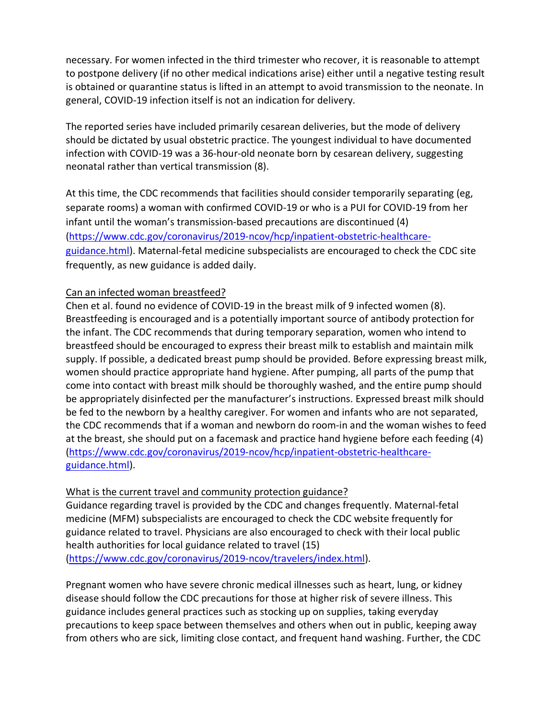necessary. For women infected in the third trimester who recover, it is reasonable to attempt to postpone delivery (if no other medical indications arise) either until a negative testing result is obtained or quarantine status is lifted in an attempt to avoid transmission to the neonate. In general, COVID-19 infection itself is not an indication for delivery.

The reported series have included primarily cesarean deliveries, but the mode of delivery should be dictated by usual obstetric practice. The youngest individual to have documented infection with COVID-19 was a 36-hour-old neonate born by cesarean delivery, suggesting neonatal rather than vertical transmission (8).

At this time, the CDC recommends that facilities should consider temporarily separating (eg, separate rooms) a woman with confirmed COVID-19 or who is a PUI for COVID-19 from her infant until the woman's transmission-based precautions are discontinued (4) (https://www.cdc.gov/coronavirus/2019-ncov/hcp/inpatient-obstetric-healthcareguidance.html). Maternal-fetal medicine subspecialists are encouraged to check the CDC site frequently, as new guidance is added daily.

#### Can an infected woman breastfeed?

Chen et al. found no evidence of COVID-19 in the breast milk of 9 infected women (8). Breastfeeding is encouraged and is a potentially important source of antibody protection for the infant. The CDC recommends that during temporary separation, women who intend to breastfeed should be encouraged to express their breast milk to establish and maintain milk supply. If possible, a dedicated breast pump should be provided. Before expressing breast milk, women should practice appropriate hand hygiene. After pumping, all parts of the pump that come into contact with breast milk should be thoroughly washed, and the entire pump should be appropriately disinfected per the manufacturer's instructions. Expressed breast milk should be fed to the newborn by a healthy caregiver. For women and infants who are not separated, the CDC recommends that if a woman and newborn do room-in and the woman wishes to feed at the breast, she should put on a facemask and practice hand hygiene before each feeding (4) (https://www.cdc.gov/coronavirus/2019-ncov/hcp/inpatient-obstetric-healthcareguidance.html).

### What is the current travel and community protection guidance?

Guidance regarding travel is provided by the CDC and changes frequently. Maternal-fetal medicine (MFM) subspecialists are encouraged to check the CDC website frequently for guidance related to travel. Physicians are also encouraged to check with their local public health authorities for local guidance related to travel (15) (https://www.cdc.gov/coronavirus/2019-ncov/travelers/index.html).

Pregnant women who have severe chronic medical illnesses such as heart, lung, or kidney disease should follow the CDC precautions for those at higher risk of severe illness. This guidance includes general practices such as stocking up on supplies, taking everyday precautions to keep space between themselves and others when out in public, keeping away from others who are sick, limiting close contact, and frequent hand washing. Further, the CDC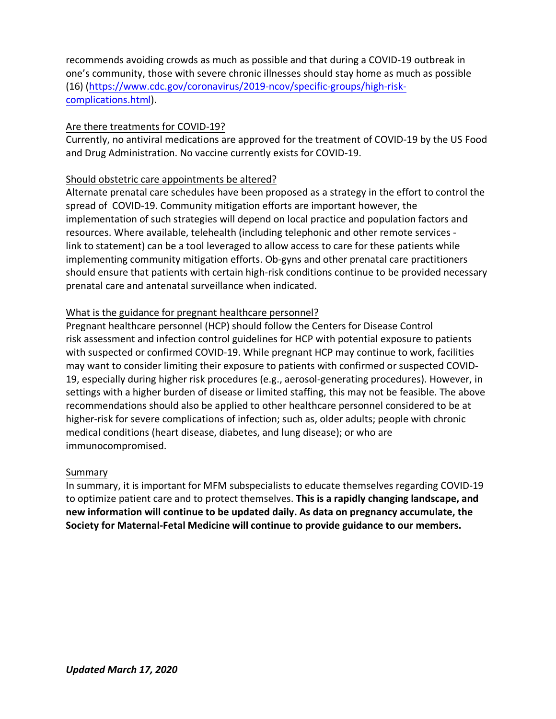recommends avoiding crowds as much as possible and that during a COVID-19 outbreak in one's community, those with severe chronic illnesses should stay home as much as possible (16) (https://www.cdc.gov/coronavirus/2019-ncov/specific-groups/high-riskcomplications.html).

### Are there treatments for COVID-19?

Currently, no antiviral medications are approved for the treatment of COVID-19 by the US Food and Drug Administration. No vaccine currently exists for COVID-19.

# Should obstetric care appointments be altered?

Alternate prenatal care schedules have been proposed as a strategy in the effort to control the spread of COVID-19. Community mitigation efforts are important however, the implementation of such strategies will depend on local practice and population factors and resources. Where available, telehealth (including telephonic and other remote services link to statement) can be a tool leveraged to allow access to care for these patients while implementing community mitigation efforts. Ob-gyns and other prenatal care practitioners should ensure that patients with certain high-risk conditions continue to be provided necessary prenatal care and antenatal surveillance when indicated.

# What is the guidance for pregnant healthcare personnel?

Pregnant healthcare personnel (HCP) should follow the Centers for Disease Control risk assessment and infection control guidelines for HCP with potential exposure to patients with suspected or confirmed COVID-19. While pregnant HCP may continue to work, facilities may want to consider limiting their exposure to patients with confirmed or suspected COVID-19, especially during higher risk procedures (e.g., aerosol-generating procedures). However, in settings with a higher burden of disease or limited staffing, this may not be feasible. The above recommendations should also be applied to other healthcare personnel considered to be at higher-risk for severe complications of infection; such as, older adults; people with chronic medical conditions (heart disease, diabetes, and lung disease); or who are immunocompromised.

### Summary

In summary, it is important for MFM subspecialists to educate themselves regarding COVID-19 to optimize patient care and to protect themselves. **This is a rapidly changing landscape, and new information will continue to be updated daily. As data on pregnancy accumulate, the Society for Maternal-Fetal Medicine will continue to provide guidance to our members.**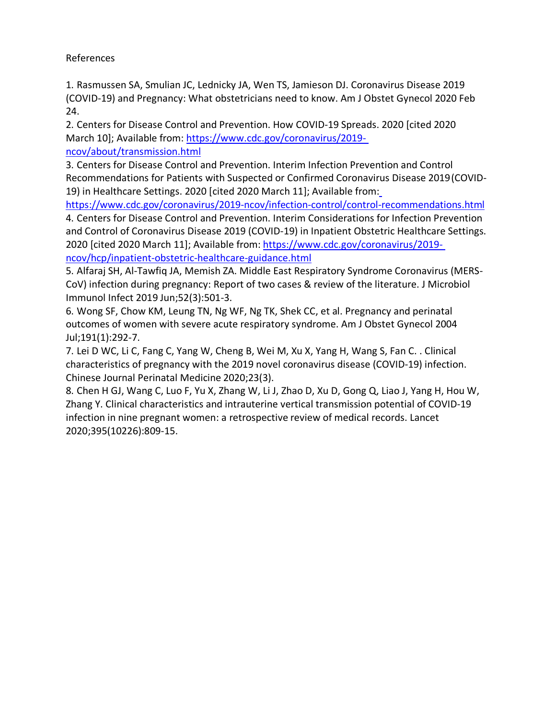### References

1. Rasmussen SA, Smulian JC, Lednicky JA, Wen TS, Jamieson DJ. Coronavirus Disease 2019 (COVID-19) and Pregnancy: What obstetricians need to know. Am J Obstet Gynecol 2020 Feb 24.

2. Centers for Disease Control and Prevention. How COVID-19 Spreads. 2020 [cited 2020 March 10]; Available from: https://www.cdc.gov/coronavirus/2019 ncov/about/transmission.html

3. Centers for Disease Control and Prevention. Interim Infection Prevention and Control Recommendations for Patients with Suspected or Confirmed Coronavirus Disease 2019(COVID-19) in Healthcare Settings. 2020 [cited 2020 March 11]; Available from:

https://www.cdc.gov/coronavirus/2019-ncov/infection-control/control-recommendations.html 4. Centers for Disease Control and Prevention. Interim Considerations for Infection Prevention and Control of Coronavirus Disease 2019 (COVID-19) in Inpatient Obstetric Healthcare Settings. 2020 [cited 2020 March 11]; Available from: https://www.cdc.gov/coronavirus/2019 ncov/hcp/inpatient-obstetric-healthcare-guidance.html

5. Alfaraj SH, Al-Tawfiq JA, Memish ZA. Middle East Respiratory Syndrome Coronavirus (MERS-CoV) infection during pregnancy: Report of two cases & review of the literature. J Microbiol Immunol Infect 2019 Jun;52(3):501-3.

6. Wong SF, Chow KM, Leung TN, Ng WF, Ng TK, Shek CC, et al. Pregnancy and perinatal outcomes of women with severe acute respiratory syndrome. Am J Obstet Gynecol 2004 Jul;191(1):292-7.

7. Lei D WC, Li C, Fang C, Yang W, Cheng B, Wei M, Xu X, Yang H, Wang S, Fan C. . Clinical characteristics of pregnancy with the 2019 novel coronavirus disease (COVID-19) infection. Chinese Journal Perinatal Medicine 2020;23(3).

8. Chen H GJ, Wang C, Luo F, Yu X, Zhang W, Li J, Zhao D, Xu D, Gong Q, Liao J, Yang H, Hou W, Zhang Y. Clinical characteristics and intrauterine vertical transmission potential of COVID-19 infection in nine pregnant women: a retrospective review of medical records. Lancet 2020;395(10226):809-15.